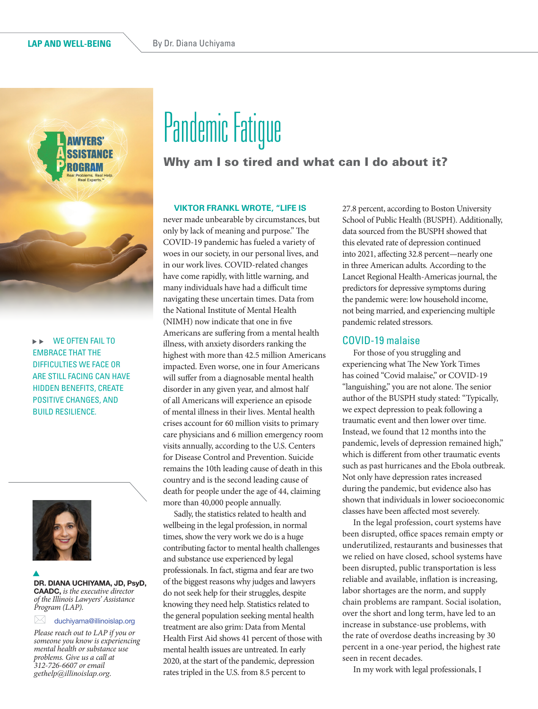

WE OFTEN FAIL TO  $\blacktriangleright$   $\blacktriangleright$ EMBRACE THAT THE DIFFICULTIES WE FACE OR ARE STILL FACING CAN HAVE HIDDEN BENEFITS, CREATE POSITIVE CHANGES, AND BUILD RESILIENCE.



 $\mathbf{r}$ 

DR. DIANA UCHIYAMA, JD, PsyD, CAADC, *is the executive director of the Illinois Lawyers' Assistance Program (LAP).*

 $\bowtie$  duchiyama@illinoislap.org

*Please reach out to LAP if you or someone you know is experiencing mental health or substance use problems. Give us a call at 312-726-6607 or email gethelp@illinoislap.org.*

# Pandemic Fatigue

## Why am I so tired and what can I do about it?

#### **VIKTOR FRANKL WROTE, "LIFE IS**

never made unbearable by circumstances, but only by lack of meaning and purpose." The COVID-19 pandemic has fueled a variety of woes in our society, in our personal lives, and in our work lives. COVID-related changes have come rapidly, with little warning, and many individuals have had a difficult time navigating these uncertain times. Data from the National Institute of Mental Health (NIMH) now indicate that one in five Americans are suffering from a mental health illness, with anxiety disorders ranking the highest with more than 42.5 million Americans impacted. Even worse, one in four Americans will suffer from a diagnosable mental health disorder in any given year, and almost half of all Americans will experience an episode of mental illness in their lives. Mental health crises account for 60 million visits to primary care physicians and 6 million emergency room visits annually, according to the U.S. Centers for Disease Control and Prevention. Suicide remains the 10th leading cause of death in this country and is the second leading cause of death for people under the age of 44, claiming more than 40,000 people annually.

Sadly, the statistics related to health and wellbeing in the legal profession, in normal times, show the very work we do is a huge contributing factor to mental health challenges and substance use experienced by legal professionals. In fact, stigma and fear are two of the biggest reasons why judges and lawyers do not seek help for their struggles, despite knowing they need help. Statistics related to the general population seeking mental health treatment are also grim: Data from Mental Health First Aid shows 41 percent of those with mental health issues are untreated. In early 2020, at the start of the pandemic*,* depression rates tripled in the U.S. from 8.5 percent to

27.8 percent, according to Boston University School of Public Health (BUSPH). Additionally, data sourced from the BUSPH showed that this elevated rate of depression continued into 2021, affecting 32.8 percent—nearly one in three American adults*.* According to the Lancet Regional Health-Americas journal, the predictors for depressive symptoms during the pandemic were: low household income, not being married, and experiencing multiple pandemic related stressors.

#### COVID-19 malaise

For those of you struggling and experiencing what The New York Times has coined "Covid malaise," or COVID-19 "languishing," you are not alone. The senior author of the BUSPH study stated: "Typically, we expect depression to peak following a traumatic event and then lower over time. Instead, we found that 12 months into the pandemic, levels of depression remained high," which is different from other traumatic events such as past hurricanes and the Ebola outbreak. Not only have depression rates increased during the pandemic, but evidence also has shown that individuals in lower socioeconomic classes have been affected most severely.

In the legal profession, court systems have been disrupted, office spaces remain empty or underutilized, restaurants and businesses that we relied on have closed, school systems have been disrupted, public transportation is less reliable and available, inflation is increasing, labor shortages are the norm, and supply chain problems are rampant. Social isolation, over the short and long term, have led to an increase in substance-use problems, with the rate of overdose deaths increasing by 30 percent in a one-year period, the highest rate seen in recent decades.

In my work with legal professionals, I